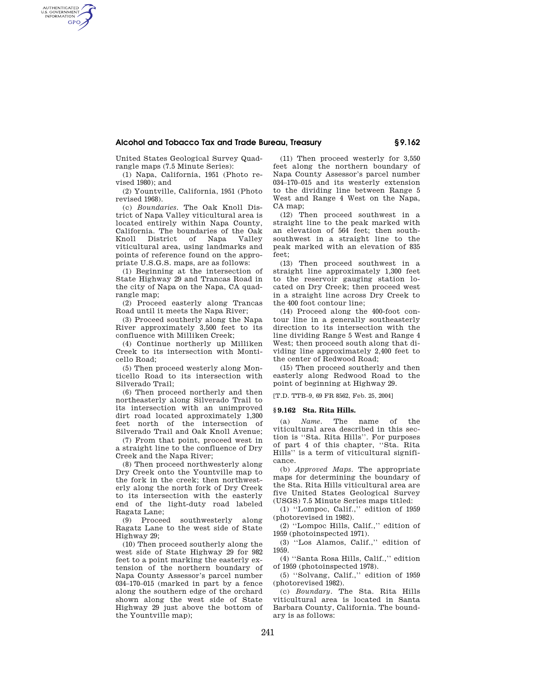## **Alcohol and Tobacco Tax and Trade Bureau, Treasury § 9.162**

United States Geological Survey Quadrangle maps (7.5 Minute Series):

AUTHENTICATED<br>U.S. GOVERNMENT<br>INFORMATION **GPO** 

> (1) Napa, California, 1951 (Photo revised 1980); and

(2) Yountville, California, 1951 (Photo revised 1968).

(c) *Boundaries.* The Oak Knoll District of Napa Valley viticultural area is located entirely within Napa County, California. The boundaries of the Oak Knoll District of Napa Valley viticultural area, using landmarks and points of reference found on the appropriate U.S.G.S. maps, are as follows:

(1) Beginning at the intersection of State Highway 29 and Trancas Road in the city of Napa on the Napa, CA quadrangle map;

(2) Proceed easterly along Trancas Road until it meets the Napa River;

(3) Proceed southerly along the Napa River approximately 3,500 feet to its confluence with Milliken Creek;

(4) Continue northerly up Milliken Creek to its intersection with Monticello Road;

(5) Then proceed westerly along Monticello Road to its intersection with Silverado Trail;

(6) Then proceed northerly and then northeasterly along Silverado Trail to its intersection with an unimproved dirt road located approximately 1,300 feet north of the intersection of Silverado Trail and Oak Knoll Avenue;

(7) From that point, proceed west in a straight line to the confluence of Dry Creek and the Napa River;

(8) Then proceed northwesterly along Dry Creek onto the Yountville map to the fork in the creek; then northwesterly along the north fork of Dry Creek to its intersection with the easterly end of the light-duty road labeled Ragatz Lane;

(9) Proceed southwesterly along Ragatz Lane to the west side of State Highway 29;

(10) Then proceed southerly along the west side of State Highway 29 for 982 feet to a point marking the easterly extension of the northern boundary of Napa County Assessor's parcel number 034–170–015 (marked in part by a fence along the southern edge of the orchard shown along the west side of State Highway 29 just above the bottom of the Yountville map);

(11) Then proceed westerly for 3,550 feet along the northern boundary of Napa County Assessor's parcel number 034–170–015 and its westerly extension to the dividing line between Range 5 West and Range 4 West on the Napa,  $CA$  man:

(12) Then proceed southwest in a straight line to the peak marked with an elevation of 564 feet; then southsouthwest in a straight line to the peak marked with an elevation of 835 feet;

(13) Then proceed southwest in a straight line approximately 1,300 feet to the reservoir gauging station located on Dry Creek; then proceed west in a straight line across Dry Creek to the 400 foot contour line;

(14) Proceed along the 400-foot contour line in a generally southeasterly direction to its intersection with the line dividing Range 5 West and Range 4 West; then proceed south along that dividing line approximately 2,400 feet to the center of Redwood Road;

(15) Then proceed southerly and then easterly along Redwood Road to the point of beginning at Highway 29.

[T.D. TTB-9, 69 FR 8562, Feb. 25, 2004]

## **§ 9.162 Sta. Rita Hills.**

(a) *Name.* The name of the viticultural area described in this section is ''Sta. Rita Hills''. For purposes of part 4 of this chapter, ''Sta. Rita Hills'' is a term of viticultural significance.

(b) *Approved Maps.* The appropriate maps for determining the boundary of the Sta. Rita Hills viticultural area are five United States Geological Survey (USGS) 7.5 Minute Series maps titled:

(1) ''Lompoc, Calif.,'' edition of 1959 (photorevised in 1982).

(2) ''Lompoc Hills, Calif.,'' edition of 1959 (photoinspected 1971).

(3) ''Los Alamos, Calif.,'' edition of 1959.

(4) ''Santa Rosa Hills, Calif.,'' edition of 1959 (photoinspected 1978).

(5) ''Solvang, Calif.,'' edition of 1959 (photorevised 1982).

(c) *Boundary.* The Sta. Rita Hills viticultural area is located in Santa Barbara County, California. The boundary is as follows: